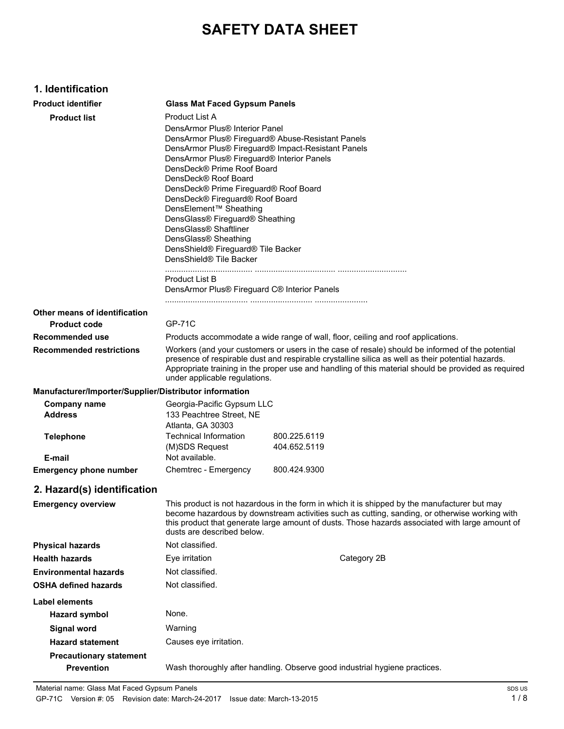# **SAFETY DATA SHEET**

## **1. Identification**

| <b>Product identifier</b>                              | <b>Glass Mat Faced Gypsum Panels</b>                                                                                                                                                                                                                                                                                                                                                                                                                                                                                             |                                                                                                                                                                                                                                                                                                  |  |
|--------------------------------------------------------|----------------------------------------------------------------------------------------------------------------------------------------------------------------------------------------------------------------------------------------------------------------------------------------------------------------------------------------------------------------------------------------------------------------------------------------------------------------------------------------------------------------------------------|--------------------------------------------------------------------------------------------------------------------------------------------------------------------------------------------------------------------------------------------------------------------------------------------------|--|
| <b>Product list</b>                                    | Product List A                                                                                                                                                                                                                                                                                                                                                                                                                                                                                                                   |                                                                                                                                                                                                                                                                                                  |  |
|                                                        | DensArmor Plus® Interior Panel<br>DensArmor Plus® Fireguard® Abuse-Resistant Panels<br>DensArmor Plus® Fireguard® Impact-Resistant Panels<br>DensArmor Plus® Fireguard® Interior Panels<br>DensDeck® Prime Roof Board<br>DensDeck® Roof Board<br>DensDeck® Prime Fireguard® Roof Board<br>DensDeck® Fireguard® Roof Board<br>DensElement™ Sheathing<br>DensGlass® Fireguard® Sheathing<br>DensGlass <sup>®</sup> Shaftliner<br>DensGlass® Sheathing<br>DensShield® Fireguard® Tile Backer<br>DensShield <sup>®</sup> Tile Backer |                                                                                                                                                                                                                                                                                                  |  |
|                                                        | Product List B<br>DensArmor Plus® Fireguard C® Interior Panels                                                                                                                                                                                                                                                                                                                                                                                                                                                                   |                                                                                                                                                                                                                                                                                                  |  |
| Other means of identification                          |                                                                                                                                                                                                                                                                                                                                                                                                                                                                                                                                  |                                                                                                                                                                                                                                                                                                  |  |
| <b>Product code</b>                                    | <b>GP-71C</b>                                                                                                                                                                                                                                                                                                                                                                                                                                                                                                                    |                                                                                                                                                                                                                                                                                                  |  |
| Recommended use                                        |                                                                                                                                                                                                                                                                                                                                                                                                                                                                                                                                  | Products accommodate a wide range of wall, floor, ceiling and roof applications.                                                                                                                                                                                                                 |  |
| <b>Recommended restrictions</b>                        | Workers (and your customers or users in the case of resale) should be informed of the potential<br>presence of respirable dust and respirable crystalline silica as well as their potential hazards.<br>Appropriate training in the proper use and handling of this material should be provided as required<br>under applicable regulations.                                                                                                                                                                                     |                                                                                                                                                                                                                                                                                                  |  |
| Manufacturer/Importer/Supplier/Distributor information |                                                                                                                                                                                                                                                                                                                                                                                                                                                                                                                                  |                                                                                                                                                                                                                                                                                                  |  |
| <b>Company name</b><br><b>Address</b>                  | Georgia-Pacific Gypsum LLC<br>133 Peachtree Street, NE<br>Atlanta, GA 30303                                                                                                                                                                                                                                                                                                                                                                                                                                                      |                                                                                                                                                                                                                                                                                                  |  |
| <b>Telephone</b><br>E-mail                             | Technical Information<br>(M)SDS Request<br>Not available.                                                                                                                                                                                                                                                                                                                                                                                                                                                                        | 800.225.6119<br>404.652.5119                                                                                                                                                                                                                                                                     |  |
| <b>Emergency phone number</b>                          | Chemtrec - Emergency                                                                                                                                                                                                                                                                                                                                                                                                                                                                                                             | 800.424.9300                                                                                                                                                                                                                                                                                     |  |
| 2. Hazard(s) identification                            |                                                                                                                                                                                                                                                                                                                                                                                                                                                                                                                                  |                                                                                                                                                                                                                                                                                                  |  |
| <b>Emergency overview</b>                              | dusts are described below.                                                                                                                                                                                                                                                                                                                                                                                                                                                                                                       | This product is not hazardous in the form in which it is shipped by the manufacturer but may<br>become hazardous by downstream activities such as cutting, sanding, or otherwise working with<br>this product that generate large amount of dusts. Those hazards associated with large amount of |  |
| <b>Physical hazards</b>                                | Not classified.                                                                                                                                                                                                                                                                                                                                                                                                                                                                                                                  |                                                                                                                                                                                                                                                                                                  |  |
| <b>Health hazards</b>                                  | Eye irritation                                                                                                                                                                                                                                                                                                                                                                                                                                                                                                                   | Category 2B                                                                                                                                                                                                                                                                                      |  |
| <b>Environmental hazards</b>                           | Not classified.                                                                                                                                                                                                                                                                                                                                                                                                                                                                                                                  |                                                                                                                                                                                                                                                                                                  |  |
| <b>OSHA defined hazards</b>                            | Not classified.                                                                                                                                                                                                                                                                                                                                                                                                                                                                                                                  |                                                                                                                                                                                                                                                                                                  |  |
| Label elements                                         |                                                                                                                                                                                                                                                                                                                                                                                                                                                                                                                                  |                                                                                                                                                                                                                                                                                                  |  |
| <b>Hazard symbol</b>                                   | None.                                                                                                                                                                                                                                                                                                                                                                                                                                                                                                                            |                                                                                                                                                                                                                                                                                                  |  |
| <b>Signal word</b>                                     | Warning                                                                                                                                                                                                                                                                                                                                                                                                                                                                                                                          |                                                                                                                                                                                                                                                                                                  |  |
| <b>Hazard statement</b>                                | Causes eye irritation.                                                                                                                                                                                                                                                                                                                                                                                                                                                                                                           |                                                                                                                                                                                                                                                                                                  |  |
| <b>Precautionary statement</b>                         |                                                                                                                                                                                                                                                                                                                                                                                                                                                                                                                                  |                                                                                                                                                                                                                                                                                                  |  |
| <b>Prevention</b>                                      |                                                                                                                                                                                                                                                                                                                                                                                                                                                                                                                                  | Wash thoroughly after handling. Observe good industrial hygiene practices.                                                                                                                                                                                                                       |  |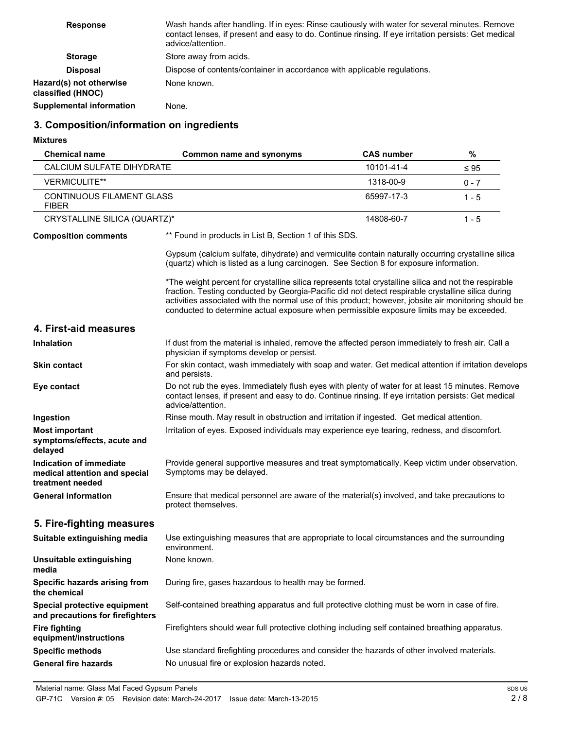| <b>Response</b>                              | Wash hands after handling. If in eyes: Rinse cautiously with water for several minutes. Remove<br>contact lenses, if present and easy to do. Continue rinsing. If eye irritation persists: Get medical<br>advice/attention. |
|----------------------------------------------|-----------------------------------------------------------------------------------------------------------------------------------------------------------------------------------------------------------------------------|
| <b>Storage</b>                               | Store away from acids.                                                                                                                                                                                                      |
| <b>Disposal</b>                              | Dispose of contents/container in accordance with applicable regulations.                                                                                                                                                    |
| Hazard(s) not otherwise<br>classified (HNOC) | None known.                                                                                                                                                                                                                 |
| <b>Supplemental information</b>              | None.                                                                                                                                                                                                                       |

# **3. Composition/information on ingredients**

**Mixtures**

| <b>Chemical name</b>                                                         | Common name and synonyms                                                                                                                                                                                                                                                                                                                                                                                        | <b>CAS number</b> | $\%$      |
|------------------------------------------------------------------------------|-----------------------------------------------------------------------------------------------------------------------------------------------------------------------------------------------------------------------------------------------------------------------------------------------------------------------------------------------------------------------------------------------------------------|-------------------|-----------|
| <b>CALCIUM SULFATE DIHYDRATE</b>                                             |                                                                                                                                                                                                                                                                                                                                                                                                                 | 10101-41-4        | $\leq 95$ |
| <b>VERMICULITE**</b>                                                         |                                                                                                                                                                                                                                                                                                                                                                                                                 | 1318-00-9         | $0 - 7$   |
| CONTINUOUS FILAMENT GLASS<br><b>FIBER</b>                                    |                                                                                                                                                                                                                                                                                                                                                                                                                 | 65997-17-3        | $1 - 5$   |
| CRYSTALLINE SILICA (QUARTZ)*                                                 |                                                                                                                                                                                                                                                                                                                                                                                                                 | 14808-60-7        | $1 - 5$   |
| <b>Composition comments</b>                                                  | ** Found in products in List B, Section 1 of this SDS.                                                                                                                                                                                                                                                                                                                                                          |                   |           |
|                                                                              | Gypsum (calcium sulfate, dihydrate) and vermiculite contain naturally occurring crystalline silica<br>(quartz) which is listed as a lung carcinogen. See Section 8 for exposure information.                                                                                                                                                                                                                    |                   |           |
|                                                                              | *The weight percent for crystalline silica represents total crystalline silica and not the respirable<br>fraction. Testing conducted by Georgia-Pacific did not detect respirable crystalline silica during<br>activities associated with the normal use of this product; however, jobsite air monitoring should be<br>conducted to determine actual exposure when permissible exposure limits may be exceeded. |                   |           |
| 4. First-aid measures                                                        |                                                                                                                                                                                                                                                                                                                                                                                                                 |                   |           |
| <b>Inhalation</b>                                                            | If dust from the material is inhaled, remove the affected person immediately to fresh air. Call a<br>physician if symptoms develop or persist.                                                                                                                                                                                                                                                                  |                   |           |
| <b>Skin contact</b>                                                          | For skin contact, wash immediately with soap and water. Get medical attention if irritation develops<br>and persists.                                                                                                                                                                                                                                                                                           |                   |           |
| Eye contact                                                                  | Do not rub the eyes. Immediately flush eyes with plenty of water for at least 15 minutes. Remove<br>contact lenses, if present and easy to do. Continue rinsing. If eye irritation persists: Get medical<br>advice/attention.                                                                                                                                                                                   |                   |           |
| Ingestion                                                                    | Rinse mouth. May result in obstruction and irritation if ingested. Get medical attention.                                                                                                                                                                                                                                                                                                                       |                   |           |
| <b>Most important</b><br>symptoms/effects, acute and<br>delayed              | Irritation of eyes. Exposed individuals may experience eye tearing, redness, and discomfort.                                                                                                                                                                                                                                                                                                                    |                   |           |
| Indication of immediate<br>medical attention and special<br>treatment needed | Provide general supportive measures and treat symptomatically. Keep victim under observation.<br>Symptoms may be delayed.                                                                                                                                                                                                                                                                                       |                   |           |
| <b>General information</b>                                                   | Ensure that medical personnel are aware of the material(s) involved, and take precautions to<br>protect themselves.                                                                                                                                                                                                                                                                                             |                   |           |
| 5. Fire-fighting measures                                                    |                                                                                                                                                                                                                                                                                                                                                                                                                 |                   |           |
| Suitable extinguishing media                                                 | Use extinguishing measures that are appropriate to local circumstances and the surrounding<br>environment.                                                                                                                                                                                                                                                                                                      |                   |           |
| <b>Unsuitable extinguishing</b><br>media                                     | None known.                                                                                                                                                                                                                                                                                                                                                                                                     |                   |           |
| Specific hazards arising from<br>the chemical                                | During fire, gases hazardous to health may be formed.                                                                                                                                                                                                                                                                                                                                                           |                   |           |
| Special protective equipment<br>and precautions for firefighters             | Self-contained breathing apparatus and full protective clothing must be worn in case of fire.                                                                                                                                                                                                                                                                                                                   |                   |           |
| <b>Fire fighting</b><br>equipment/instructions                               | Firefighters should wear full protective clothing including self contained breathing apparatus.                                                                                                                                                                                                                                                                                                                 |                   |           |
| <b>Specific methods</b>                                                      | Use standard firefighting procedures and consider the hazards of other involved materials.                                                                                                                                                                                                                                                                                                                      |                   |           |
| <b>General fire hazards</b>                                                  | No unusual fire or explosion hazards noted.                                                                                                                                                                                                                                                                                                                                                                     |                   |           |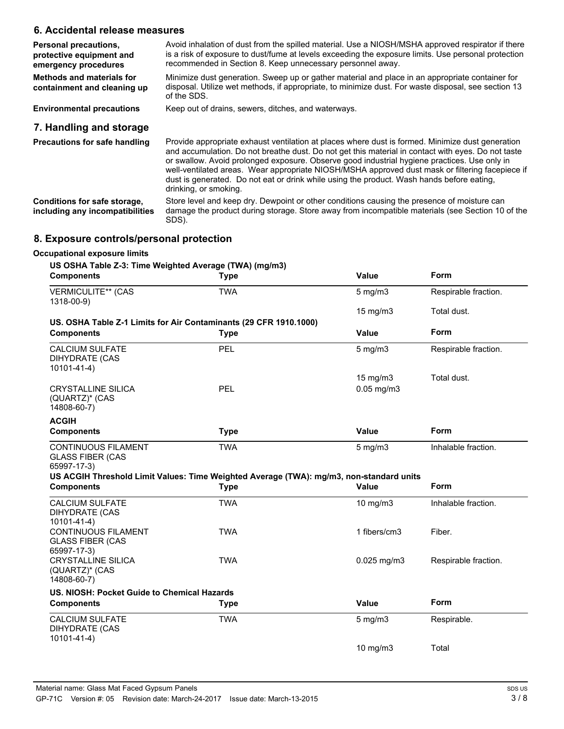## **6. Accidental release measures**

| Personal precautions,<br>protective equipment and<br>emergency procedures | Avoid inhalation of dust from the spilled material. Use a NIOSH/MSHA approved respirator if there<br>is a risk of exposure to dust/fume at levels exceeding the exposure limits. Use personal protection<br>recommended in Section 8. Keep unnecessary personnel away.                                                                                                                                                                                                                                                          |
|---------------------------------------------------------------------------|---------------------------------------------------------------------------------------------------------------------------------------------------------------------------------------------------------------------------------------------------------------------------------------------------------------------------------------------------------------------------------------------------------------------------------------------------------------------------------------------------------------------------------|
| Methods and materials for<br>containment and cleaning up                  | Minimize dust generation. Sweep up or gather material and place in an appropriate container for<br>disposal. Utilize wet methods, if appropriate, to minimize dust. For waste disposal, see section 13<br>of the SDS.                                                                                                                                                                                                                                                                                                           |
| <b>Environmental precautions</b>                                          | Keep out of drains, sewers, ditches, and waterways.                                                                                                                                                                                                                                                                                                                                                                                                                                                                             |
| 7. Handling and storage                                                   |                                                                                                                                                                                                                                                                                                                                                                                                                                                                                                                                 |
| Precautions for safe handling                                             | Provide appropriate exhaust ventilation at places where dust is formed. Minimize dust generation<br>and accumulation. Do not breathe dust. Do not get this material in contact with eyes. Do not taste<br>or swallow. Avoid prolonged exposure. Observe good industrial hygiene practices. Use only in<br>well-ventilated areas. Wear appropriate NIOSH/MSHA approved dust mask or filtering facepiece if<br>dust is generated. Do not eat or drink while using the product. Wash hands before eating,<br>drinking, or smoking. |

Store level and keep dry. Dewpoint or other conditions causing the presence of moisture can damage the product during storage. Store away from incompatible materials (see Section 10 of the SDS). **Conditions for safe storage, including any incompatibilities**

## **8. Exposure controls/personal protection**

#### **Occupational exposure limits**

#### **US OSHA Table Z-3: Time Weighted Average (TWA) (mg/m3)**

| <b>Components</b>                                                                                                                                               | <b>Type</b> | Value             | Form                 |
|-----------------------------------------------------------------------------------------------------------------------------------------------------------------|-------------|-------------------|----------------------|
| <b>VERMICULITE** (CAS</b><br>1318-00-9)                                                                                                                         | <b>TWA</b>  | $5$ mg/m $3$      | Respirable fraction. |
|                                                                                                                                                                 |             | $15 \text{ mg/m}$ | Total dust.          |
| US. OSHA Table Z-1 Limits for Air Contaminants (29 CFR 1910.1000)                                                                                               |             |                   |                      |
| <b>Components</b>                                                                                                                                               | <b>Type</b> | <b>Value</b>      | Form                 |
| <b>CALCIUM SULFATE</b><br><b>DIHYDRATE (CAS</b><br>10101-41-4)                                                                                                  | PEL         | $5$ mg/m $3$      | Respirable fraction. |
|                                                                                                                                                                 |             | $15 \text{ mg/m}$ | Total dust.          |
| <b>CRYSTALLINE SILICA</b><br>(QUARTZ)* (CAS<br>14808-60-7)                                                                                                      | PEL         | $0.05$ mg/m $3$   |                      |
| <b>ACGIH</b>                                                                                                                                                    |             |                   |                      |
| <b>Components</b>                                                                                                                                               | <b>Type</b> | Value             | Form                 |
| <b>CONTINUOUS FILAMENT</b><br><b>GLASS FIBER (CAS</b><br>65997-17-3)<br>US ACGIH Threshold Limit Values: Time Weighted Average (TWA): mg/m3, non-standard units | <b>TWA</b>  | $5$ mg/m $3$      | Inhalable fraction.  |
| <b>Components</b>                                                                                                                                               | <b>Type</b> | Value             | Form                 |
| <b>CALCIUM SULFATE</b><br><b>DIHYDRATE (CAS</b><br>10101-41-4)                                                                                                  | <b>TWA</b>  | 10 mg/m $3$       | Inhalable fraction.  |
| <b>CONTINUOUS FILAMENT</b><br><b>GLASS FIBER (CAS</b><br>65997-17-3)                                                                                            | <b>TWA</b>  | 1 fibers/cm3      | Fiber.               |
| <b>CRYSTALLINE SILICA</b><br>(QUARTZ)* (CAS<br>14808-60-7)                                                                                                      | <b>TWA</b>  | $0.025$ mg/m $3$  | Respirable fraction. |
| US. NIOSH: Pocket Guide to Chemical Hazards                                                                                                                     |             |                   |                      |
| <b>Components</b>                                                                                                                                               | <b>Type</b> | Value             | Form                 |
| <b>CALCIUM SULFATE</b><br><b>DIHYDRATE (CAS</b><br>$10101 - 41 - 4)$                                                                                            | <b>TWA</b>  | $5$ mg/m $3$      | Respirable.          |
|                                                                                                                                                                 |             | $10$ mg/m $3$     | Total                |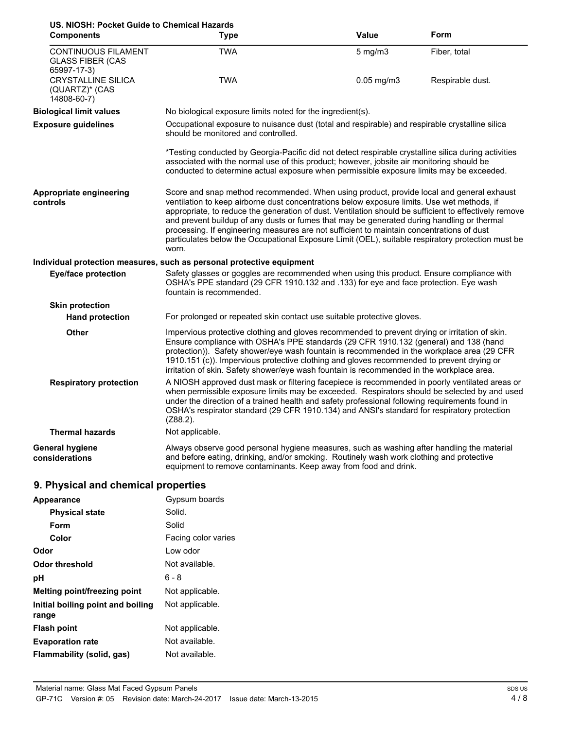| US. NIOSH: Pocket Guide to Chemical Hazards<br><b>Components</b>     | <b>Type</b>                                                                                                                                                                                                                                                                                                                                                                                                                                                                                                                                                                                               | <b>Value</b>    | Form             |  |
|----------------------------------------------------------------------|-----------------------------------------------------------------------------------------------------------------------------------------------------------------------------------------------------------------------------------------------------------------------------------------------------------------------------------------------------------------------------------------------------------------------------------------------------------------------------------------------------------------------------------------------------------------------------------------------------------|-----------------|------------------|--|
| <b>CONTINUOUS FILAMENT</b><br><b>GLASS FIBER (CAS</b><br>65997-17-3) | <b>TWA</b>                                                                                                                                                                                                                                                                                                                                                                                                                                                                                                                                                                                                | $5$ mg/m $3$    | Fiber, total     |  |
| <b>CRYSTALLINE SILICA</b><br>(QUARTZ)* (CAS<br>14808-60-7)           | <b>TWA</b>                                                                                                                                                                                                                                                                                                                                                                                                                                                                                                                                                                                                | $0.05$ mg/m $3$ | Respirable dust. |  |
| <b>Biological limit values</b>                                       | No biological exposure limits noted for the ingredient(s).                                                                                                                                                                                                                                                                                                                                                                                                                                                                                                                                                |                 |                  |  |
| <b>Exposure guidelines</b>                                           | Occupational exposure to nuisance dust (total and respirable) and respirable crystalline silica<br>should be monitored and controlled.                                                                                                                                                                                                                                                                                                                                                                                                                                                                    |                 |                  |  |
|                                                                      | *Testing conducted by Georgia-Pacific did not detect respirable crystalline silica during activities<br>associated with the normal use of this product; however, jobsite air monitoring should be<br>conducted to determine actual exposure when permissible exposure limits may be exceeded.                                                                                                                                                                                                                                                                                                             |                 |                  |  |
| Appropriate engineering<br>controls                                  | Score and snap method recommended. When using product, provide local and general exhaust<br>ventilation to keep airborne dust concentrations below exposure limits. Use wet methods, if<br>appropriate, to reduce the generation of dust. Ventilation should be sufficient to effectively remove<br>and prevent buildup of any dusts or fumes that may be generated during handling or thermal<br>processing. If engineering measures are not sufficient to maintain concentrations of dust<br>particulates below the Occupational Exposure Limit (OEL), suitable respiratory protection must be<br>worn. |                 |                  |  |
|                                                                      | Individual protection measures, such as personal protective equipment                                                                                                                                                                                                                                                                                                                                                                                                                                                                                                                                     |                 |                  |  |
| <b>Eye/face protection</b>                                           | Safety glasses or goggles are recommended when using this product. Ensure compliance with<br>OSHA's PPE standard (29 CFR 1910.132 and .133) for eye and face protection. Eye wash<br>fountain is recommended.                                                                                                                                                                                                                                                                                                                                                                                             |                 |                  |  |
| <b>Skin protection</b>                                               |                                                                                                                                                                                                                                                                                                                                                                                                                                                                                                                                                                                                           |                 |                  |  |
| <b>Hand protection</b>                                               | For prolonged or repeated skin contact use suitable protective gloves.                                                                                                                                                                                                                                                                                                                                                                                                                                                                                                                                    |                 |                  |  |
| <b>Other</b>                                                         | Impervious protective clothing and gloves recommended to prevent drying or irritation of skin.<br>Ensure compliance with OSHA's PPE standards (29 CFR 1910.132 (general) and 138 (hand<br>protection)). Safety shower/eye wash fountain is recommended in the workplace area (29 CFR<br>1910.151 (c)). Impervious protective clothing and gloves recommended to prevent drying or<br>irritation of skin. Safety shower/eye wash fountain is recommended in the workplace area.                                                                                                                            |                 |                  |  |
| <b>Respiratory protection</b>                                        | A NIOSH approved dust mask or filtering facepiece is recommended in poorly ventilated areas or<br>when permissible exposure limits may be exceeded. Respirators should be selected by and used<br>under the direction of a trained health and safety professional following requirements found in<br>OSHA's respirator standard (29 CFR 1910.134) and ANSI's standard for respiratory protection<br>$(Z88.2)$ .                                                                                                                                                                                           |                 |                  |  |
| <b>Thermal hazards</b>                                               | Not applicable.                                                                                                                                                                                                                                                                                                                                                                                                                                                                                                                                                                                           |                 |                  |  |
| <b>General hygiene</b><br>considerations                             | Always observe good personal hygiene measures, such as washing after handling the material<br>and before eating, drinking, and/or smoking. Routinely wash work clothing and protective<br>equipment to remove contaminants. Keep away from food and drink.                                                                                                                                                                                                                                                                                                                                                |                 |                  |  |

# **9. Physical and chemical properties**

| Appearance                                 | Gypsum boards       |
|--------------------------------------------|---------------------|
| <b>Physical state</b>                      | Solid.              |
| Form                                       | Solid               |
| Color                                      | Facing color varies |
| Odor                                       | I ow odor           |
| Odor threshold                             | Not available.      |
| рH                                         | 6 - 8               |
| <b>Melting point/freezing point</b>        | Not applicable.     |
| Initial boiling point and boiling<br>range | Not applicable.     |
| <b>Flash point</b>                         | Not applicable.     |
| <b>Evaporation rate</b>                    | Not available.      |
| Flammability (solid, gas)                  | Not available.      |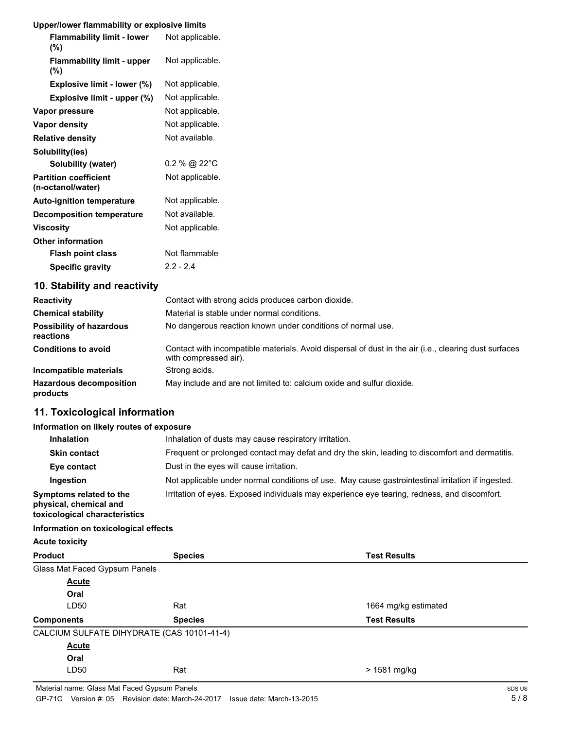## **Upper/lower flammability or explosive limits**

| <b>Flammability limit - lower</b><br>(%)          | Not applicable. |
|---------------------------------------------------|-----------------|
| <b>Flammability limit - upper</b><br>(%)          | Not applicable. |
| Explosive limit - lower (%)                       | Not applicable. |
| Explosive limit - upper (%)                       | Not applicable. |
| Vapor pressure                                    | Not applicable. |
| Vapor density                                     | Not applicable. |
| <b>Relative density</b>                           | Not available.  |
| Solubility(ies)                                   |                 |
| Solubility (water)                                | 0.2 % @ 22°C    |
| <b>Partition coefficient</b><br>(n-octanol/water) | Not applicable. |
| <b>Auto-ignition temperature</b>                  | Not applicable. |
| <b>Decomposition temperature</b>                  | Not available.  |
| Viscosity                                         | Not applicable. |
| <b>Other information</b>                          |                 |
| <b>Flash point class</b>                          | Not flammable   |
| <b>Specific gravity</b>                           | $2.2 - 2.4$     |

# **10. Stability and reactivity**

| <b>Reactivity</b>                            | Contact with strong acids produces carbon dioxide.                                                                             |
|----------------------------------------------|--------------------------------------------------------------------------------------------------------------------------------|
| <b>Chemical stability</b>                    | Material is stable under normal conditions.                                                                                    |
| <b>Possibility of hazardous</b><br>reactions | No dangerous reaction known under conditions of normal use.                                                                    |
| <b>Conditions to avoid</b>                   | Contact with incompatible materials. Avoid dispersal of dust in the air (i.e., clearing dust surfaces<br>with compressed air). |
| Incompatible materials                       | Strong acids.                                                                                                                  |
| <b>Hazardous decomposition</b><br>products   | May include and are not limited to: calcium oxide and sulfur dioxide.                                                          |

# **11. Toxicological information**

## **Information on likely routes of exposure**

| <b>Inhalation</b>                                                                  | Inhalation of dusts may cause respiratory irritation.                                             |
|------------------------------------------------------------------------------------|---------------------------------------------------------------------------------------------------|
| <b>Skin contact</b>                                                                | Frequent or prolonged contact may defat and dry the skin, leading to discomfort and dermatitis.   |
| Eye contact                                                                        | Dust in the eyes will cause irritation.                                                           |
| Ingestion                                                                          | Not applicable under normal conditions of use. May cause gastrointestinal irritation if ingested. |
| Symptoms related to the<br>physical, chemical and<br>toxicological characteristics | Irritation of eyes. Exposed individuals may experience eye tearing, redness, and discomfort.      |

#### **Information on toxicological effects**

| <b>Acute toxicity</b>         |                                            |                      |
|-------------------------------|--------------------------------------------|----------------------|
| <b>Product</b>                | <b>Species</b>                             | <b>Test Results</b>  |
| Glass Mat Faced Gypsum Panels |                                            |                      |
| <b>Acute</b>                  |                                            |                      |
| Oral                          |                                            |                      |
| LD50                          | Rat                                        | 1664 mg/kg estimated |
| <b>Components</b>             | <b>Species</b>                             | <b>Test Results</b>  |
|                               | CALCIUM SULFATE DIHYDRATE (CAS 10101-41-4) |                      |
| <b>Acute</b>                  |                                            |                      |
| Oral                          |                                            |                      |
| LD50                          | Rat                                        | > 1581 mg/kg         |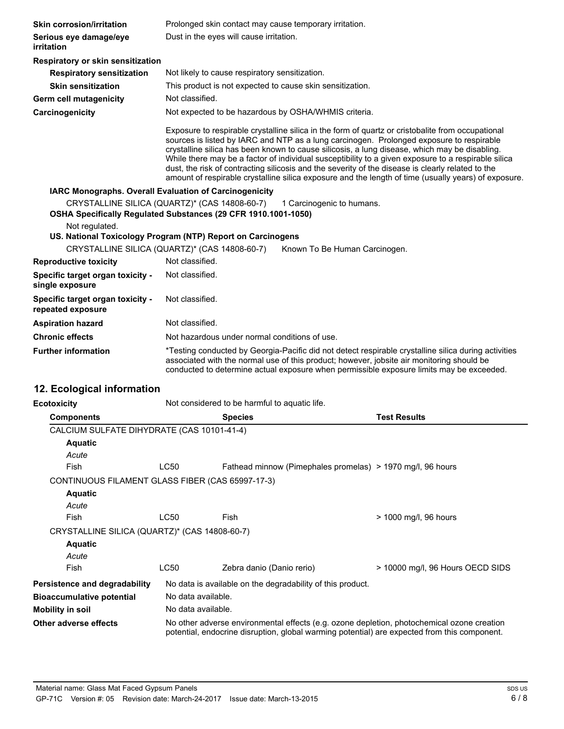| <b>Skin corrosion/irritation</b>                                                                                | Prolonged skin contact may cause temporary irritation.                                                                                                                                                                                                                                                                                                                                                                                                                                                                                                                                                             |                                                            |                                  |
|-----------------------------------------------------------------------------------------------------------------|--------------------------------------------------------------------------------------------------------------------------------------------------------------------------------------------------------------------------------------------------------------------------------------------------------------------------------------------------------------------------------------------------------------------------------------------------------------------------------------------------------------------------------------------------------------------------------------------------------------------|------------------------------------------------------------|----------------------------------|
| Serious eye damage/eye<br>irritation                                                                            | Dust in the eyes will cause irritation.                                                                                                                                                                                                                                                                                                                                                                                                                                                                                                                                                                            |                                                            |                                  |
| Respiratory or skin sensitization                                                                               |                                                                                                                                                                                                                                                                                                                                                                                                                                                                                                                                                                                                                    |                                                            |                                  |
| <b>Respiratory sensitization</b>                                                                                |                                                                                                                                                                                                                                                                                                                                                                                                                                                                                                                                                                                                                    | Not likely to cause respiratory sensitization.             |                                  |
| <b>Skin sensitization</b>                                                                                       |                                                                                                                                                                                                                                                                                                                                                                                                                                                                                                                                                                                                                    | This product is not expected to cause skin sensitization.  |                                  |
| <b>Germ cell mutagenicity</b>                                                                                   | Not classified.                                                                                                                                                                                                                                                                                                                                                                                                                                                                                                                                                                                                    |                                                            |                                  |
| Carcinogenicity                                                                                                 |                                                                                                                                                                                                                                                                                                                                                                                                                                                                                                                                                                                                                    | Not expected to be hazardous by OSHA/WHMIS criteria.       |                                  |
|                                                                                                                 | Exposure to respirable crystalline silica in the form of quartz or cristobalite from occupational<br>sources is listed by IARC and NTP as a lung carcinogen. Prolonged exposure to respirable<br>crystalline silica has been known to cause silicosis, a lung disease, which may be disabling.<br>While there may be a factor of individual susceptibility to a given exposure to a respirable silica<br>dust, the risk of contracting silicosis and the severity of the disease is clearly related to the<br>amount of respirable crystalline silica exposure and the length of time (usually years) of exposure. |                                                            |                                  |
| IARC Monographs. Overall Evaluation of Carcinogenicity                                                          |                                                                                                                                                                                                                                                                                                                                                                                                                                                                                                                                                                                                                    |                                                            |                                  |
| CRYSTALLINE SILICA (QUARTZ)* (CAS 14808-60-7)<br>OSHA Specifically Regulated Substances (29 CFR 1910.1001-1050) |                                                                                                                                                                                                                                                                                                                                                                                                                                                                                                                                                                                                                    | 1 Carcinogenic to humans.                                  |                                  |
| Not regulated.<br>US. National Toxicology Program (NTP) Report on Carcinogens                                   |                                                                                                                                                                                                                                                                                                                                                                                                                                                                                                                                                                                                                    |                                                            |                                  |
| CRYSTALLINE SILICA (QUARTZ)* (CAS 14808-60-7)                                                                   |                                                                                                                                                                                                                                                                                                                                                                                                                                                                                                                                                                                                                    | Known To Be Human Carcinogen.                              |                                  |
| <b>Reproductive toxicity</b>                                                                                    | Not classified.                                                                                                                                                                                                                                                                                                                                                                                                                                                                                                                                                                                                    |                                                            |                                  |
| Specific target organ toxicity -<br>single exposure                                                             | Not classified.                                                                                                                                                                                                                                                                                                                                                                                                                                                                                                                                                                                                    |                                                            |                                  |
| Specific target organ toxicity -<br>repeated exposure                                                           | Not classified.                                                                                                                                                                                                                                                                                                                                                                                                                                                                                                                                                                                                    |                                                            |                                  |
| <b>Aspiration hazard</b>                                                                                        | Not classified.                                                                                                                                                                                                                                                                                                                                                                                                                                                                                                                                                                                                    |                                                            |                                  |
| <b>Chronic effects</b>                                                                                          | Not hazardous under normal conditions of use.                                                                                                                                                                                                                                                                                                                                                                                                                                                                                                                                                                      |                                                            |                                  |
| <b>Further information</b>                                                                                      | *Testing conducted by Georgia-Pacific did not detect respirable crystalline silica during activities<br>associated with the normal use of this product; however, jobsite air monitoring should be<br>conducted to determine actual exposure when permissible exposure limits may be exceeded.                                                                                                                                                                                                                                                                                                                      |                                                            |                                  |
| 12. Ecological information                                                                                      |                                                                                                                                                                                                                                                                                                                                                                                                                                                                                                                                                                                                                    |                                                            |                                  |
| <b>Ecotoxicity</b>                                                                                              |                                                                                                                                                                                                                                                                                                                                                                                                                                                                                                                                                                                                                    | Not considered to be harmful to aquatic life.              |                                  |
| <b>Components</b>                                                                                               |                                                                                                                                                                                                                                                                                                                                                                                                                                                                                                                                                                                                                    | <b>Species</b>                                             | <b>Test Results</b>              |
| CALCIUM SULFATE DIHYDRATE (CAS 10101-41-4)                                                                      |                                                                                                                                                                                                                                                                                                                                                                                                                                                                                                                                                                                                                    |                                                            |                                  |
| <b>Aquatic</b>                                                                                                  |                                                                                                                                                                                                                                                                                                                                                                                                                                                                                                                                                                                                                    |                                                            |                                  |
| Acute                                                                                                           |                                                                                                                                                                                                                                                                                                                                                                                                                                                                                                                                                                                                                    |                                                            |                                  |
| Fish                                                                                                            | LC50                                                                                                                                                                                                                                                                                                                                                                                                                                                                                                                                                                                                               | Fathead minnow (Pimephales promelas) > 1970 mg/l, 96 hours |                                  |
| CONTINUOUS FILAMENT GLASS FIBER (CAS 65997-17-3)                                                                |                                                                                                                                                                                                                                                                                                                                                                                                                                                                                                                                                                                                                    |                                                            |                                  |
| <b>Aquatic</b>                                                                                                  |                                                                                                                                                                                                                                                                                                                                                                                                                                                                                                                                                                                                                    |                                                            |                                  |
| Acute                                                                                                           |                                                                                                                                                                                                                                                                                                                                                                                                                                                                                                                                                                                                                    |                                                            |                                  |
| <b>Fish</b>                                                                                                     | LC50                                                                                                                                                                                                                                                                                                                                                                                                                                                                                                                                                                                                               | Fish                                                       | > 1000 mg/l, 96 hours            |
| CRYSTALLINE SILICA (QUARTZ)* (CAS 14808-60-7)                                                                   |                                                                                                                                                                                                                                                                                                                                                                                                                                                                                                                                                                                                                    |                                                            |                                  |
| <b>Aquatic</b>                                                                                                  |                                                                                                                                                                                                                                                                                                                                                                                                                                                                                                                                                                                                                    |                                                            |                                  |
| Acute                                                                                                           |                                                                                                                                                                                                                                                                                                                                                                                                                                                                                                                                                                                                                    |                                                            |                                  |
| Fish                                                                                                            | <b>LC50</b>                                                                                                                                                                                                                                                                                                                                                                                                                                                                                                                                                                                                        | Zebra danio (Danio rerio)                                  | > 10000 mg/l, 96 Hours OECD SIDS |
| Persistence and degradability                                                                                   | No data is available on the degradability of this product.                                                                                                                                                                                                                                                                                                                                                                                                                                                                                                                                                         |                                                            |                                  |
| <b>Bioaccumulative potential</b>                                                                                | No data available.                                                                                                                                                                                                                                                                                                                                                                                                                                                                                                                                                                                                 |                                                            |                                  |
| <b>Mobility in soil</b>                                                                                         | No data available.                                                                                                                                                                                                                                                                                                                                                                                                                                                                                                                                                                                                 |                                                            |                                  |
| Other adverse effects                                                                                           | No other adverse environmental effects (e.g. ozone depletion, photochemical ozone creation                                                                                                                                                                                                                                                                                                                                                                                                                                                                                                                         |                                                            |                                  |

potential, endocrine disruption, global warming potential) are expected from this component.

Material name: Glass Mat Faced Gypsum Panels GP-71C Version #: 05 Revision date: March-24-2017 Issue date: March-13-2015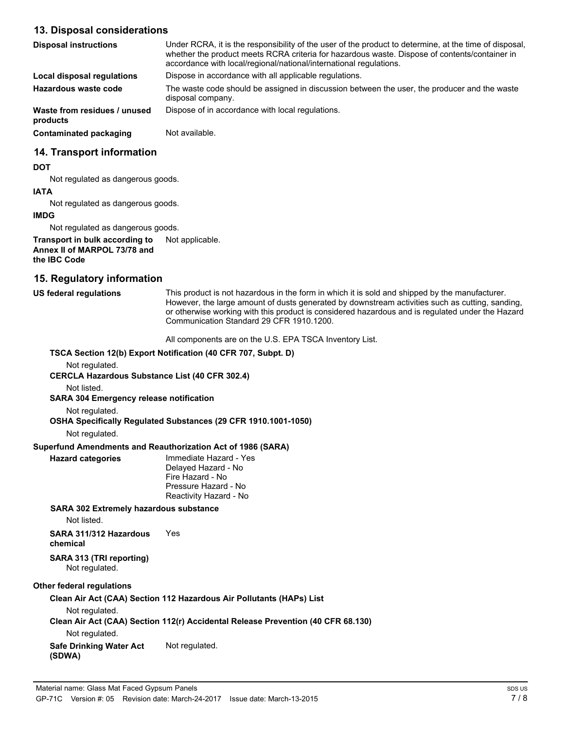## **13. Disposal considerations**

| <b>Disposal instructions</b>             | Under RCRA, it is the responsibility of the user of the product to determine, at the time of disposal,<br>whether the product meets RCRA criteria for hazardous waste. Dispose of contents/container in<br>accordance with local/regional/national/international regulations. |  |
|------------------------------------------|-------------------------------------------------------------------------------------------------------------------------------------------------------------------------------------------------------------------------------------------------------------------------------|--|
| Local disposal regulations               | Dispose in accordance with all applicable regulations.                                                                                                                                                                                                                        |  |
| Hazardous waste code                     | The waste code should be assigned in discussion between the user, the producer and the waste<br>disposal company.                                                                                                                                                             |  |
| Waste from residues / unused<br>products | Dispose of in accordance with local regulations.                                                                                                                                                                                                                              |  |
| Contaminated packaging                   | Not available.                                                                                                                                                                                                                                                                |  |

## **14. Transport information**

#### **DOT**

Not regulated as dangerous goods.

#### **IATA**

Not regulated as dangerous goods.

#### **IMDG**

Not regulated as dangerous goods.

**Transport in bulk according to** Not applicable. **Annex II of MARPOL 73/78 and the IBC Code**

## **15. Regulatory information**

## **US federal regulations**

This product is not hazardous in the form in which it is sold and shipped by the manufacturer. However, the large amount of dusts generated by downstream activities such as cutting, sanding, or otherwise working with this product is considered hazardous and is regulated under the Hazard Communication Standard 29 CFR 1910.1200.

All components are on the U.S. EPA TSCA Inventory List.

## **TSCA Section 12(b) Export Notification (40 CFR 707, Subpt. D)** Not regulated. **CERCLA Hazardous Substance List (40 CFR 302.4)** Not listed. **SARA 304 Emergency release notification** Not regulated. **OSHA Specifically Regulated Substances (29 CFR 1910.1001-1050)** Not regulated. **Superfund Amendments and Reauthorization Act of 1986 (SARA)** Immediate Hazard - Yes Delayed Hazard - No Fire Hazard - No Pressure Hazard - No Reactivity Hazard - No **Hazard categories SARA 302 Extremely hazardous substance** Not listed. **SARA 311/312 Hazardous** Yes **chemical SARA 313 (TRI reporting)** Not regulated. **Other federal regulations Clean Air Act (CAA) Section 112 Hazardous Air Pollutants (HAPs) List** Not regulated.

**Clean Air Act (CAA) Section 112(r) Accidental Release Prevention (40 CFR 68.130)**

Not regulated.

#### **Safe Drinking Water Act** Not regulated. **(SDWA)**